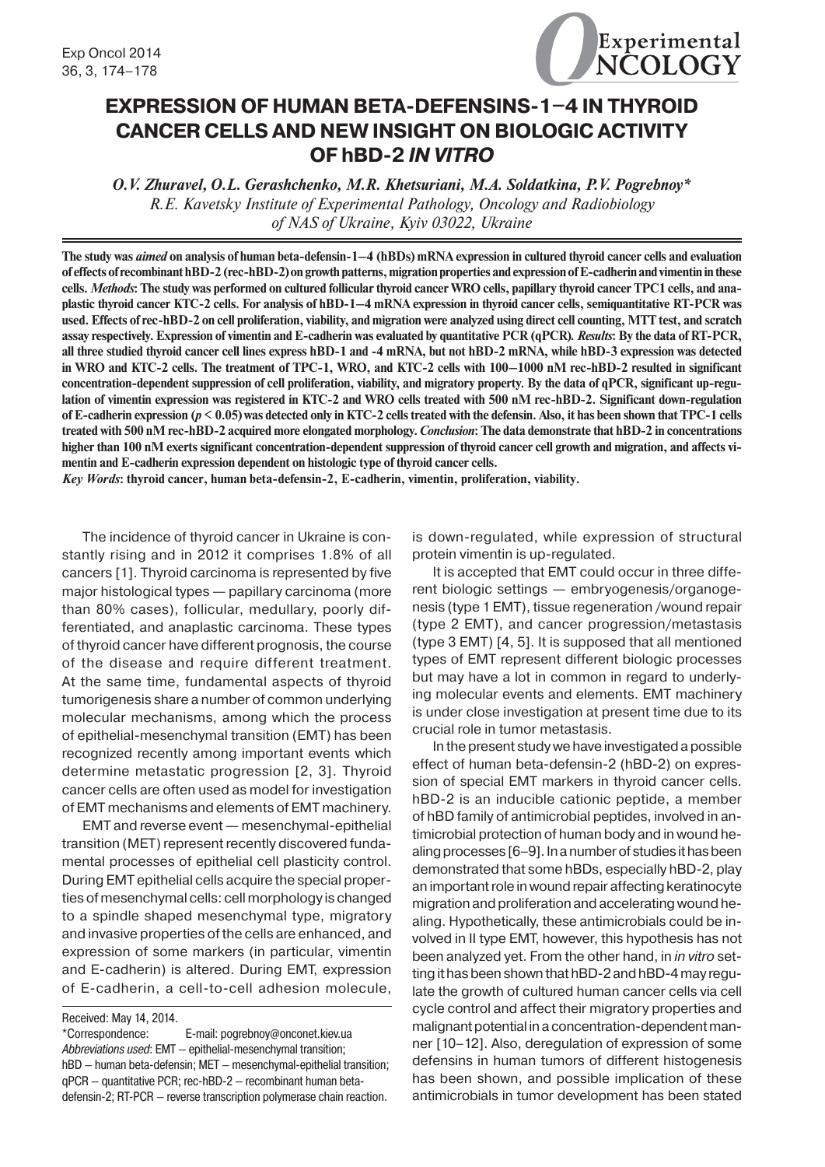

# **EXPRESSION OF HUMAN BETA-DEFENSINS-1-4 IN THYROID CANCER CELLS AND NEW INSIGHT ON BIOLOGIC ACTIVITY OF hBD-2** *IN VITRO*

*O.V. Zhuravel, O.L. Gerashchenko, M.R. Khetsuriani, M.A. Soldatkina, P.V. Pogrebnoy\* R.E. Kavetsky Institute of Experimental Pathology, Oncology and Radiobiology of NAS of Ukraine, Kyiv 03022, Ukraine*

**The study was** *aimed* **on analysis of human beta-defensin-1–4 (hBDs) mRNA expression in cultured thyroid cancer cells and evaluation of effects of recombinant hBD-2 (rec-hBD-2) on growth patterns, migration properties and expression of E-cadherin and vimentin in these cells.** *Methods***: The study was performed on cultured follicular thyroid cancer WRO cells, papillary thyroid cancer TPC1 cells, and anaplastic thyroid cancer KTC-2 cells. For analysis of hBD-1–4 mRNA expression in thyroid cancer cells, semiquantitative RT-PCR was used. Effects of rec-hBD-2 on cell proliferation, viability, and migration were analyzed using direct cell counting, MTT test, and scratch assay respectively. Expression of vimentin and E-cadherin was evaluated by quantitative PCR (qPCR)***. Results***: By the data of RT-PCR, all three studied thyroid cancer cell lines express hBD-1 and -4 mRNA, but not hBD-2 mRNA, while hBD-3 expression was detected in WRO and KTC-2 cells. The treatment of TPC-1, WRO, and KTC-2 cells with 100–1000 nM rec-hBD-2 resulted in significant concentration-dependent suppression of cell proliferation, viability, and migratory property. By the data of qPCR, significant up-regulation of vimentin expression was registered in KTC-2 and WRO cells treated with 500 nM rec-hBD-2. Significant down-regulation of E-cadherin expression (***p* **< 0.05) was detected only in KTC-2 cells treated with the defensin. Also, it has been shown that TPC-1 cells treated with 500 nM rec-hBD-2 acquired more elongated morphology.** *Conclusion***: The data demonstrate that hBD-2 in concentrations higher than 100 nM exerts significant concentration-dependent suppression of thyroid cancer cell growth and migration, and affects vimentin and E-cadherin expression dependent on histologic type of thyroid cancer cells.**

*Key Words***: thyroid cancer, human beta-defensin-2, E-cadherin, vimentin, proliferation, viability.**

The incidence of thyroid cancer in Ukraine is constantly rising and in 2012 it comprises 1.8% of all cancers [1]. Thyroid carcinoma is represented by five major histological types — papillary carcinoma (more than 80% cases), follicular, medullary, poorly differentiated, and anaplastic carcinoma. These types of thyroid cancer have different prognosis, the course of the disease and require different treatment. At the same time, fundamental aspects of thyroid tumorigenesis share a number of common underlying molecular mechanisms, among which the process of epithelial-mesenchymal transition (EMT) has been recognized recently among important events which determine metastatic progression [2, 3]. Thyroid cancer cells are often used as model for investigation of EMT mechanisms and elements of EMT machinery.

EMT and reverse event — mesenchymal-epithelial transition (MET) represent recently discovered fundamental processes of epithelial cell plasticity control. During EMT epithelial cells acquire the special properties of mesenchymal cells: cell morphology is changed to a spindle shaped mesenchymal type, migratory and invasive properties of the cells are enhanced, and expression of some markers (in particular, vimentin and E-cadherin) is altered. During EMT, expression of E-cadherin, a cell-to-cell adhesion molecule,

Received: May 14, 2014.

\*Correspondence: E-mail: pogrebnoy@onconet.kiev.ua Abbreviations used: EMT - epithelial-mesenchymal transition; hBD — human beta-defensin; MET — mesenchymal-epithelial transition; qPCR — quantitative PCR; rec-hBD-2 — recombinant human betadefensin-2; RT-PCR — reverse transcription polymerase chain reaction.

is down-regulated, while expression of structural protein vimentin is up-regulated.

It is accepted that EMT could occur in three different biologic settings — embryogenesis/organogenesis (type 1 EMT), tissue regeneration /wound repair (type 2 EMT), and cancer progression/metastasis (type 3 EMT) [4, 5]. It is supposed that all mentioned types of EMT represent different biologic processes but may have a lot in common in regard to underlying molecular events and elements. EMT machinery is under close investigation at present time due to its crucial role in tumor metastasis.

In the present study we have investigated a possible effect of human beta-defensin-2 (hBD-2) on expression of special EMT markers in thyroid cancer cells. hBD-2 is an inducible cationic peptide, a member of hBD family of antimicrobial peptides, involved in antimicrobial protection of human body and in wound healing processes [6–9]. In a number of studies it has been demonstrated that some hBDs, especially hBD-2, play an important role in wound repair affecting keratinocyte migration and proliferation and accelerating wound healing. Hypothetically, these antimicrobials could be involved in II type EMT, however, this hypothesis has not been analyzed yet. From the other hand, in *in vitro* setting it has been shown that hBD-2 and hBD-4 may regulate the growth of cultured human cancer cells via cell cycle control and affect their migratory properties and malignant potential in a concentration-dependent manner [10–12]. Also, deregulation of expression of some defensins in human tumors of different histogenesis has been shown, and possible implication of these antimicrobials in tumor development has been stated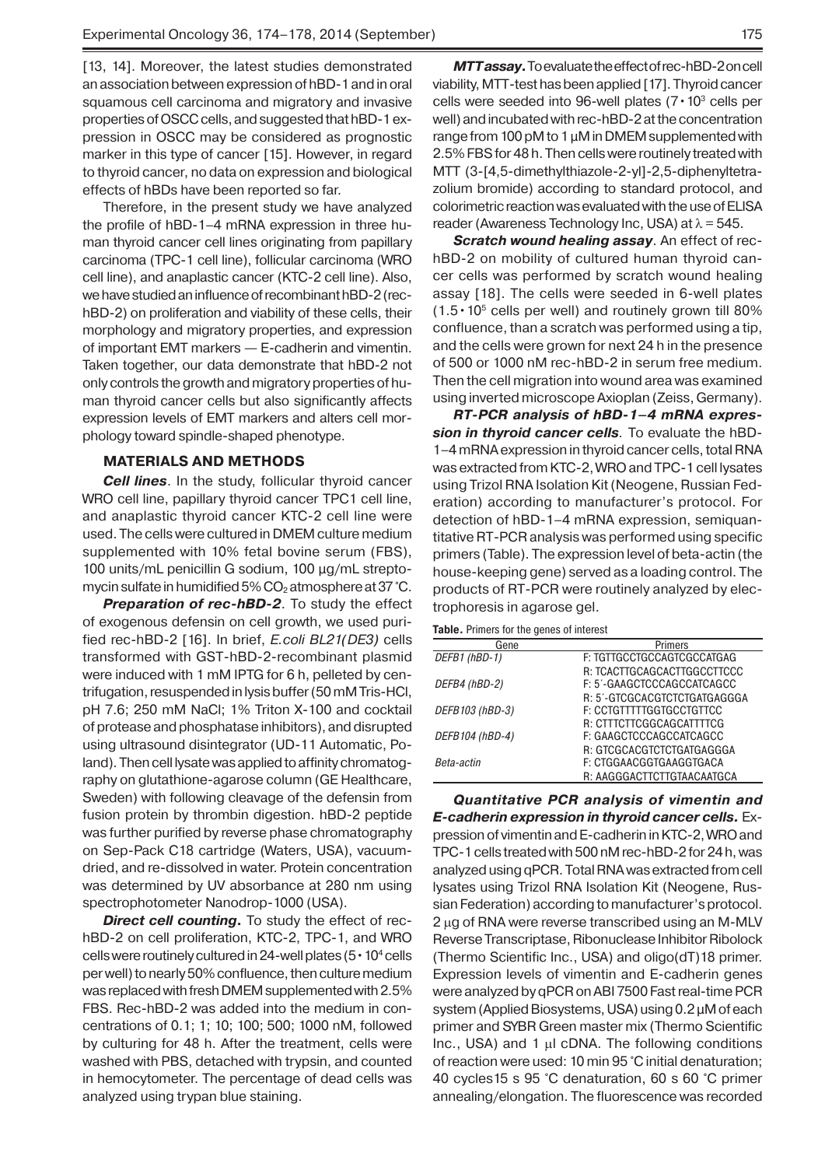[13, 14]. Moreover, the latest studies demonstrated an association between expression of hBD-1 and in oral squamous cell carcinoma and migratory and invasive properties of OSCC cells, and suggested that hBD-1 expression in OSCC may be considered as prognostic marker in this type of cancer [15]. However, in regard to thyroid cancer, no data on expression and biological effects of hBDs have been reported so far.

Therefore, in the present study we have analyzed the profile of hBD-1–4 mRNA expression in three human thyroid cancer cell lines originating from papillary carcinoma (TPC-1 cell line), follicular carcinoma (WRO cell line), and anaplastic cancer (KTC-2 cell line). Also, we have studied an influence of recombinant hBD-2 (rechBD-2) on proliferation and viability of these cells, their morphology and migratory properties, and expression of important EMT markers — E-cadherin and vimentin. Taken together, our data demonstrate that hBD-2 not only controls the growth and migratory properties of human thyroid cancer cells but also significantly affects expression levels of EMT markers and alters cell morphology toward spindle-shaped phenotype.

## **MATERIALS AND METHODS**

*Cell lines*. In the study, follicular thyroid cancer WRO cell line, papillary thyroid cancer TPC1 cell line, and anaplastic thyroid cancer KTC-2 cell line were used. The cells were cultured in DMEM culture medium supplemented with 10% fetal bovine serum (FBS), 100 units/mL penicillin G sodium, 100 μg/mL streptomycin sulfate in humidified  $5\%$  CO<sub>2</sub> atmosphere at 37 °C.

**Preparation of rec-hBD-2**. To study the effect of exogenous defensin on cell growth, we used purified rec-hBD-2 [16]. In brief, *E.coli BL21(DE3)* cells transformed with GST-hBD-2-recombinant plasmid were induced with 1 mM IPTG for 6 h, pelleted by centrifugation, resuspended in lysis buffer (50 mМ Tris-HCl, pH 7.6; 250 mM NaCl; 1% Triton X-100 and cocktail of protease and phosphatase inhibitors), and disrupted using ultrasound disintegrator (UD-11 Automatic, Poland). Then cell lysate was applied to affinity chromatography on glutathione-agarose column (GE Healthcare, Sweden) with following cleavage of the defensin from fusion protein by thrombin digestion. hBD-2 peptide was further purified by reverse phase chromatography on Sep-Pack C18 cartridge (Waters, USA), vacuumdried, and re-dissolved in water. Protein concentration was determined by UV absorbance at 280 nm using spectrophotometer Nanodrop-1000 (USA).

*Direct cell counting***.** To study the effect of rechBD-2 on cell proliferation, KTC-2, TPC-1, and WRO cells were routinely cultured in 24-well plates ( $5 \cdot 10^4$  cells per well) to nearly 50% confluence, then culture medium was replaced with fresh DMEM supplemented with 2.5% FBS. Rec-hBD-2 was added into the medium in concentrations of 0.1; 1; 10; 100; 500; 1000 nM, followed by culturing for 48 h. After the treatment, cells were washed with PBS, detached with trypsin, and counted in hemocytometer. The percentage of dead cells was analyzed using trypan blue staining.

*MTT assay***.** To evaluate the effect of rec-hBD-2 on cell viability, MTT-test has been applied [17]. Thyroid cancer cells were seeded into 96-well plates  $(7 \cdot 10^3 \text{ cells per})$ well) and incubated with rec-hBD-2 at the concentration range from 100 pM to 1 μM in DMEM supplemented with 2.5% FBS for 48 h. Then cells were routinely treated with МТТ (3-[4,5-dimethylthiazole-2-yl]-2,5-diphenyltetrazolium bromide) according to standard protocol, and colorimetric reaction was evaluated with the use of ELISA reader (Awareness Technology Inc, USA) at  $\lambda$  = 545.

*Scratch wound healing assay*. An effect of rechBD-2 on mobility of cultured human thyroid cancer cells was performed by scratch wound healing assay [18]. The cells were seeded in 6-well plates  $(1.5 \cdot 10^5 \text{ cells per well})$  and routinely grown till 80% confluence, than a scratch was performed using a tip, and the cells were grown for next 24 h in the presence of 500 or 1000 nM rec-hBD-2 in serum free medium. Then the cell migration into wound area was examined using inverted microscope Axioplan (Zeiss, Germany).

*RT-PCR analysis of hBD-1–4 mRNA expression in thyroid cancer cells.* To evaluate the hBD-1–4 mRNA expression in thyroid cancer cells, total RNA was extracted from KTC-2, WRO and TPC-1 cell lysates using Trizol RNA Isolation Kit (Neogene, Russian Federation) according to manufacturer's protocol. For detection of hBD-1–4 mRNA expression, semiquantitative RT-PCR analysis was performed using specific primers (Table). The expression level of beta-actin (the house-keeping gene) served as a loading control. The products of RT-PCR were routinely analyzed by electrophoresis in agarose gel.

**Table.** Primers for the genes of interest

| Gene            | <b>Primers</b>                                            |
|-----------------|-----------------------------------------------------------|
| DEFB1 (hBD-1)   | F: TGTTGCCTGCCAGTCGCCATGAG                                |
| DEFB4 (hBD-2)   | R: TCACTTGCAGCACTTGGCCTTCCC<br>F: 5'-GAAGCTCCCAGCCATCAGCC |
|                 | R: 5'-GTCGCACGTCTCTGATGAGGGA                              |
| DEFB103 (hBD-3) | F: CCTGTTTTTGGTGCCTGTTCC                                  |
| DEFB104 (hBD-4) | R: CTTTCTTCGGCAGCATTTTCG<br>F: GAAGCTCCCAGCCATCAGCC       |
|                 | R: GTCGCACGTCTCTGATGAGGGA                                 |
| Beta-actin      | F: CTGGAACGGTGAAGGTGACA                                   |
|                 | R: AAGGGACTTCTTGTAACAATGCA                                |
|                 |                                                           |

*Quantitative PCR analysis of vimentin and E-cadherin expression in thyroid cancer cells.* Expression of vimentin and E-cadherin in KTC-2, WRO and TPC-1 cells treated with 500 nM rec-hBD-2 for 24 h, was analyzed using qPCR. Total RNA was extracted from cell lysates using Trizol RNA Isolation Kit (Neogene, Russian Federation) according to manufacturer's protocol. 2 µg of RNA were reverse transcribed using an M-MLV Reverse Transcriptase, Ribonuclease Inhibitor Ribolock (Thermo Scientific Inc., USA) and oligo(dT)18 primer. Expression levels of vimentin and E-cadherin genes were analyzed by qPCR on ABI 7500 Fast real-time PCR system (Applied Biosystems, USA) using 0.2 μM of each primer and SYBR Green master mix (Thermo Scientific Inc., USA) and 1  $\mu$ I cDNA. The following conditions of reaction were used: 10 min 95 °C initial denaturation; 40 cycles15 s 95 °C denaturation, 60 s 60 °C primer annealing/elongation. The fluorescence was recorded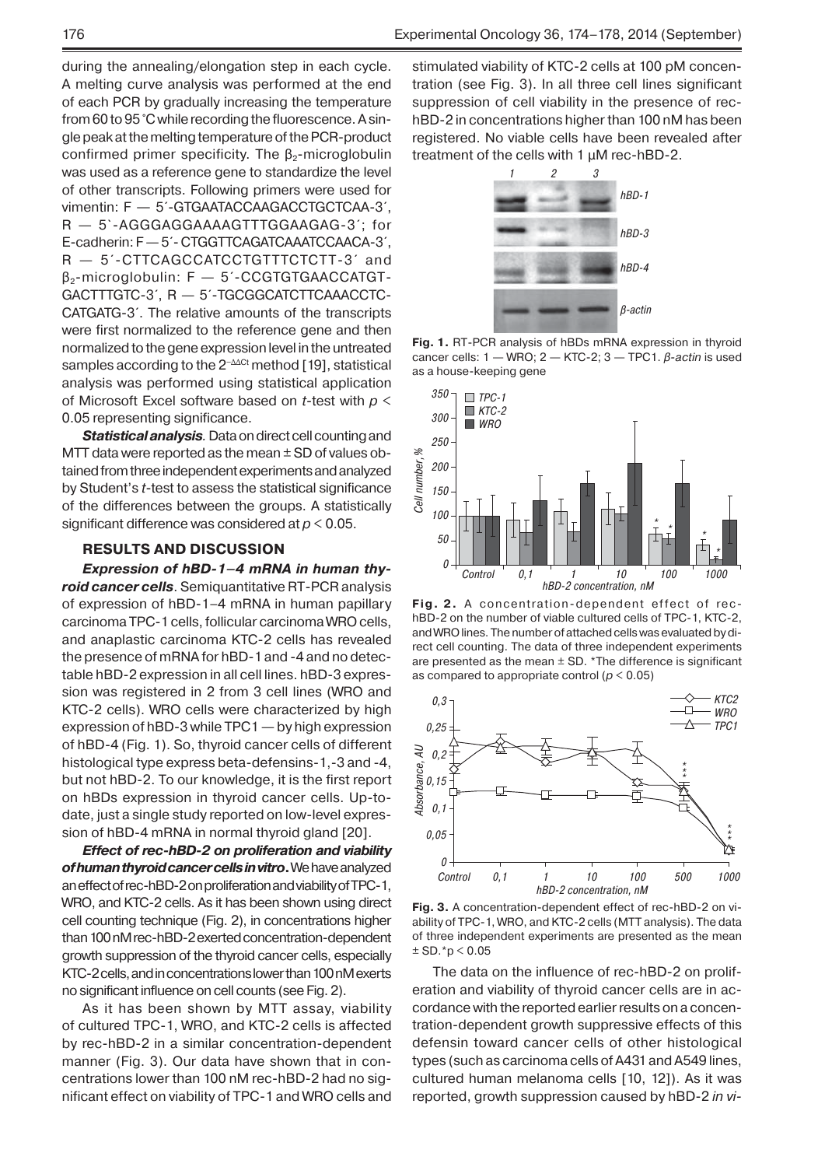during the annealing/elongation step in each cycle. A melting curve analysis was performed at the end of each PCR by gradually increasing the temperature from 60 to 95 °C while recording the fluorescence. A single peak at the melting temperature of the PCR-product confirmed primer specificity. The  $\beta_2$ -microglobulin was used as a reference gene to standardize the level of other transcripts. Following primers were used for vimentin: F — 5´-GTGAATACCAAGACCTGCTCAA-3´, R — 5`-AGGGAGGAAAAGTTTGGAAGAG-3´; for E-cadherin: F — 5´- CTGGTTCAGATCAAATCCAACA-3´, R  $-$  5<sup> $\text{-}$ </sup>CTTCAGCCATCCTGTTTCTCTT-3<sup> $\text{-}}$ </sup> and β2-microglobulin: F — 5´-CCGTGTGAACCATGT-GACTTTGTC-3´, R — 5´-TGCGGCATCTTCAAACCTC-CATGATG-3´. The relative amounts of the transcripts were first normalized to the reference gene and then normalized to the gene expression level in the untreated samples according to the 2<sup>−∆∆Ct</sup> method [19], statistical analysis was performed using statistical application of Microsoft Excel software based on *t*-test with *p* < 0.05 representing significance.

*Statistical analysis.* Data on direct cell counting and MTT data were reported as the mean  $\pm$  SD of values obtained from three independent experiments and analyzed by Student's *t*-test to assess the statistical significance of the differences between the groups. A statistically significant difference was considered at *p* < 0.05.

#### **RESULTS AND DISCUSSION**

*Expression of hBD-1–4 mRNA in human thyroid cancer cells*. Semiquantitative RT-PCR analysis of expression of hBD-1–4 mRNA in human papillary carcinoma TPC-1 cells, follicular carcinoma WRO cells, and anaplastic carcinoma KTC-2 cells has revealed the presence of mRNA for hBD-1 and -4 and no detectable hBD-2 expression in all cell lines. hBD-3 expression was registered in 2 from 3 cell lines (WRO and KTC-2 cells). WRO cells were characterized by high expression of hBD-3 while TPC1 — by high expression of hBD-4 (Fig. 1). So, thyroid cancer cells of different histological type express beta-defensins-1,-3 and -4, but not hBD-2. To our knowledge, it is the first report on hBDs expression in thyroid cancer cells. Up-todate, just a single study reported on low-level expression of hBD-4 mRNA in normal thyroid gland [20].

*Effect of rec-hBD-2 on proliferation and viability of human thyroid cancer cells in vitro***.** We have analyzed an effect of rec-hBD-2 on proliferation and viability of TPC-1, WRO, and KTC-2 cells. As it has been shown using direct cell counting technique (Fig. 2), in concentrations higher than 100 nM rec-hBD-2 exerted concentration-dependent growth suppression of the thyroid cancer cells, especially KTC-2 cells, and in concentrations lower than 100 nM exerts no significant influence on cell counts (see Fig. 2).

As it has been shown by MTT assay, viability of cultured TPC-1, WRO, and KTC-2 cells is affected by rec-hBD-2 in a similar concentration-dependent manner (Fig. 3). Our data have shown that in concentrations lower than 100 nM rec-hBD-2 had no significant effect on viability of TPC-1 and WRO cells and

stimulated viability of KTC-2 cells at 100 pM concentration (see Fig. 3). In all three cell lines significant suppression of cell viability in the presence of rechBD-2 in concentrations higher than 100 nM has been registered. No viable cells have been revealed after treatment of the cells with 1 μM rec-hBD-2.



**Fig. 1.** RT-PCR analysis of hBDs mRNA expression in thyroid cancer cells: 1 — WRO; 2 — KTC-2; 3 — TPC1. *β-actin* is used as a house-keeping gene



**Fig. 2.** A concentration-dependent effect of rechBD-2 on the number of viable cultured cells of TPC-1, KTC-2, and WRO lines. The number of attached cells was evaluated by direct cell counting. The data of three independent experiments are presented as the mean  $\pm$  SD. \*The difference is significant as compared to appropriate control (*p* < 0.05)



**Fig. 3.** A concentration-dependent effect of rec-hBD-2 on viability of TPC-1, WRO, and KTC-2 cells (MTT analysis). The data of three independent experiments are presented as the mean  $±$  SD. $*$ p  $<$  0.05

The data on the influence of rec-hBD-2 on proliferation and viability of thyroid cancer cells are in accordance with the reported earlier results on a concentration-dependent growth suppressive effects of this defensin toward cancer cells of other histological types (such as carcinoma cells of A431 and A549 lines, cultured human melanoma cells [10, 12]). As it was reported, growth suppression caused by hBD-2 *in vi-*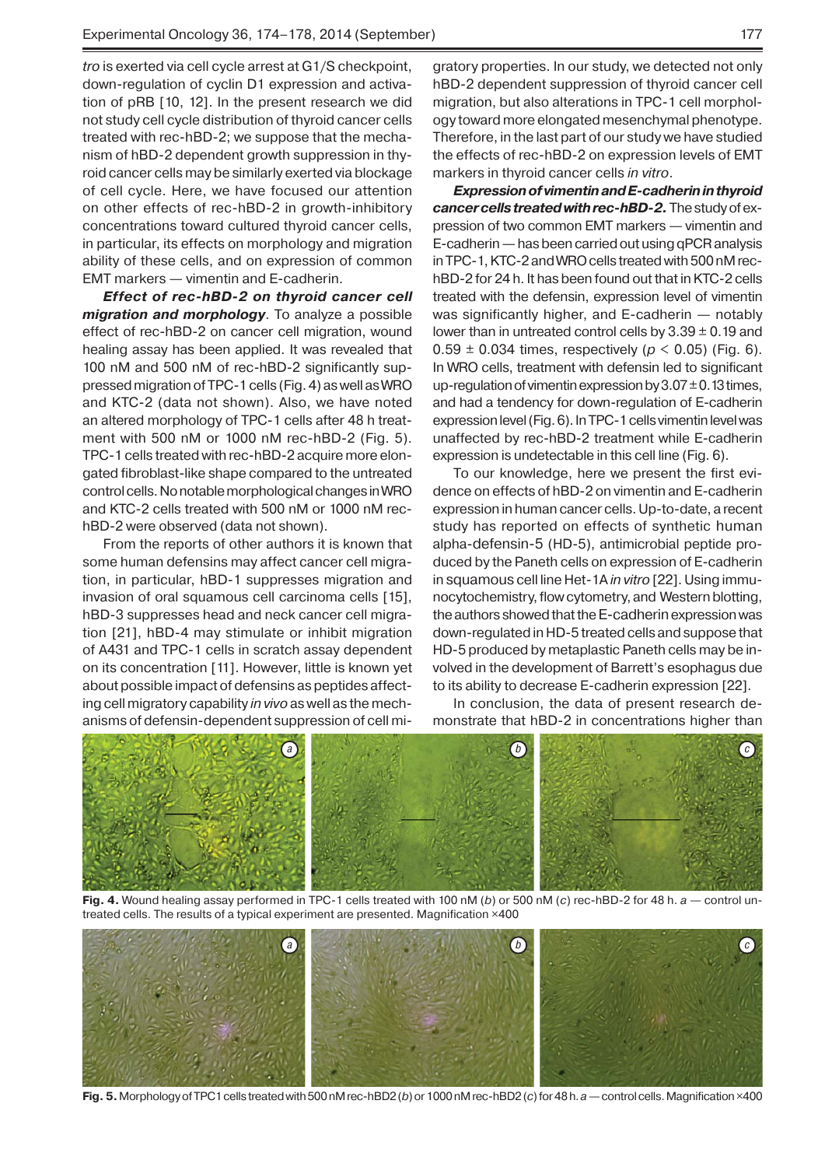*tro* is exerted via cell cycle arrest at G1/S checkpoint, down-regulation of cyclin D1 expression and activation of pRB [10, 12]. In the present research we did not study cell cycle distribution of thyroid cancer cells treated with rec-hBD-2; we suppose that the mechanism of hBD-2 dependent growth suppression in thyroid cancer cells may be similarly exerted via blockage of cell cycle. Here, we have focused our attention on other effects of rec-hBD-2 in growth-inhibitory concentrations toward cultured thyroid cancer cells, in particular, its effects on morphology and migration ability of these cells, and on expression of common EMT markers — vimentin and E-cadherin.

*Effect of rec-hBD-2 on thyroid cancer cell migration and morphology*. To analyze a possible effect of rec-hBD-2 on cancer cell migration, wound healing assay has been applied. It was revealed that 100 nM and 500 nM of rec-hBD-2 significantly suppressed migration of TPC-1 cells (Fig. 4) as well as WRO and KTC-2 (data not shown). Also, we have noted an altered morphology of TPC-1 cells after 48 h treatment with 500 nM or 1000 nM rec-hBD-2 (Fig. 5). TPC-1 cells treated with rec-hBD-2 acquire more elongated fibroblast-like shape compared to the untreated control cells. No notable morphological changes in WRO and KTC-2 cells treated with 500 nM or 1000 nM rechBD-2 were observed (data not shown).

From the reports of other authors it is known that some human defensins may affect cancer cell migration, in particular, hBD-1 suppresses migration and invasion of oral squamous cell carcinoma cells [15], hBD-3 suppresses head and neck cancer cell migration [21], hBD-4 may stimulate or inhibit migration of A431 and TPC-1 cells in scratch assay dependent on its concentration [11]. However, little is known yet about possible impact of defensins as peptides affecting cell migratory capability *in vivo* as well as the mechanisms of defensin-dependent suppression of cell mi-

gratory properties. In our study, we detected not only hBD-2 dependent suppression of thyroid cancer cell migration, but also alterations in TPC-1 cell morphology toward more elongated mesenchymal phenotype. Therefore, in the last part of our study we have studied the effects of rec-hBD-2 on expression levels of EMT markers in thyroid cancer cells *in vitro*.

*Expression of vimentin and E-cadherin in thyroid cancer cells treated with rec-hBD-2.* The study of expression of two common EMT markers — vimentin and E-cadherin — has been carried out using qPCR analysis in TPC-1, KTC-2 and WRO cells treated with 500 nM rechBD-2 for 24 h. It has been found out that in KTC-2 cells treated with the defensin, expression level of vimentin was significantly higher, and E-cadherin — notably lower than in untreated control cells by  $3.39 \pm 0.19$  and  $0.59 \pm 0.034$  times, respectively ( $p < 0.05$ ) (Fig. 6). In WRO cells, treatment with defensin led to significant up-regulation of vimentin expression by  $3.07 \pm 0.13$  times, and had a tendency for down-regulation of E-cadherin expression level (Fig. 6). In TPC-1 cells vimentin level was unaffected by rec-hBD-2 treatment while E-cadherin expression is undetectable in this cell line (Fig. 6).

To our knowledge, here we present the first evidence on effects of hBD-2 on vimentin and E-cadherin expression in human cancer cells. Up-to-date, a recent study has reported on effects of synthetic human alpha-defensin-5 (HD-5), antimicrobial peptide produced by the Paneth cells on expression of E-cadherin in squamous cell line Het-1A *in vitro* [22]. Using immunocytochemistry, flow cytometry, and Western blotting, the authors showed that the E-cadherin expression was down-regulated in HD-5 treated cells and suppose that HD-5 produced by metaplastic Paneth cells may be involved in the development of Barrett's esophagus due to its ability to decrease E-cadherin expression [22].

In conclusion, the data of present research demonstrate that hBD-2 in concentrations higher than



**Fig. 4.** Wound healing assay performed in TPC-1 cells treated with 100 nM (*b*) or 500 nM (*c*) rec-hBD-2 for 48 h. *a* — control untreated cells. The results of a typical experiment are presented. Magnification ×400



**Fig. 5.** Morphology of TPC1 cells treated with 500 nM rec-hBD2 (*b*) or 1000 nM rec-hBD2 (*c*) for 48 h. *a* — control cells. Magnification ×400